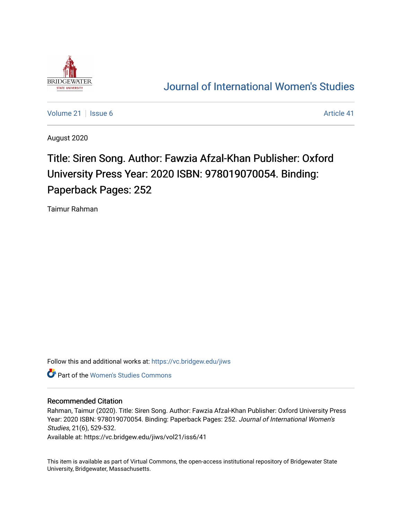

# [Journal of International Women's Studies](https://vc.bridgew.edu/jiws)

[Volume 21](https://vc.bridgew.edu/jiws/vol21) | [Issue 6](https://vc.bridgew.edu/jiws/vol21/iss6) Article 41

August 2020

# Title: Siren Song. Author: Fawzia Afzal-Khan Publisher: Oxford University Press Year: 2020 ISBN: 978019070054. Binding: Paperback Pages: 252

Taimur Rahman

Follow this and additional works at: [https://vc.bridgew.edu/jiws](https://vc.bridgew.edu/jiws?utm_source=vc.bridgew.edu%2Fjiws%2Fvol21%2Fiss6%2F41&utm_medium=PDF&utm_campaign=PDFCoverPages)

**Part of the Women's Studies Commons** 

#### Recommended Citation

Rahman, Taimur (2020). Title: Siren Song. Author: Fawzia Afzal-Khan Publisher: Oxford University Press Year: 2020 ISBN: 978019070054. Binding: Paperback Pages: 252. Journal of International Women's Studies, 21(6), 529-532.

Available at: https://vc.bridgew.edu/jiws/vol21/iss6/41

This item is available as part of Virtual Commons, the open-access institutional repository of Bridgewater State University, Bridgewater, Massachusetts.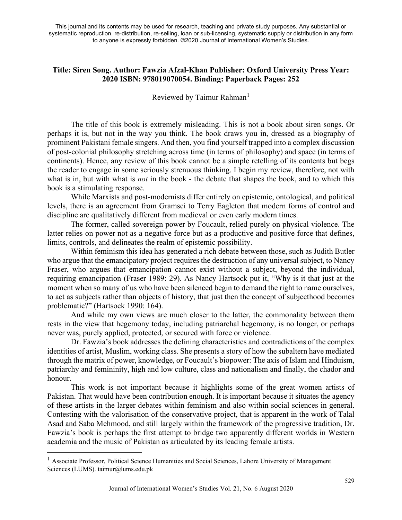This journal and its contents may be used for research, teaching and private study purposes. Any substantial or systematic reproduction, re-distribution, re-selling, loan or sub-licensing, systematic supply or distribution in any form to anyone is expressly forbidden. ©2020 Journal of International Women's Studies.

## **Title: Siren Song. Author: Fawzia Afzal-Khan Publisher: Oxford University Press Year: 2020 ISBN: 978019070054. Binding: Paperback Pages: 252**

## Reviewed by Taimur Rahman<sup>[1](#page-1-0)</sup>

The title of this book is extremely misleading. This is not a book about siren songs. Or perhaps it is, but not in the way you think. The book draws you in, dressed as a biography of prominent Pakistani female singers. And then, you find yourself trapped into a complex discussion of post-colonial philosophy stretching across time (in terms of philosophy) and space (in terms of continents). Hence, any review of this book cannot be a simple retelling of its contents but begs the reader to engage in some seriously strenuous thinking. I begin my review, therefore, not with what is in, but with what is *not* in the book - the debate that shapes the book, and to which this book is a stimulating response.

While Marxists and post-modernists differ entirely on epistemic, ontological, and political levels, there is an agreement from Gramsci to Terry Eagleton that modern forms of control and discipline are qualitatively different from medieval or even early modern times.

The former, called sovereign power by Foucault, relied purely on physical violence. The latter relies on power not as a negative force but as a productive and positive force that defines, limits, controls, and delineates the realm of epistemic possibility.

Within feminism this idea has generated a rich debate between those, such as Judith Butler who argue that the emancipatory project requires the destruction of any universal subject, to Nancy Fraser, who argues that emancipation cannot exist without a subject, beyond the individual, requiring emancipation (Fraser 1989: 29). As Nancy Hartsock put it, "Why is it that just at the moment when so many of us who have been silenced begin to demand the right to name ourselves, to act as subjects rather than objects of history, that just then the concept of subjecthood becomes problematic?" (Hartsock 1990: 164).

And while my own views are much closer to the latter, the commonality between them rests in the view that hegemony today, including patriarchal hegemony, is no longer, or perhaps never was, purely applied, protected, or secured with force or violence.

Dr. Fawzia's book addresses the defining characteristics and contradictions of the complex identities of artist, Muslim, working class. She presents a story of how the subaltern have mediated through the matrix of power, knowledge, or Foucault's biopower: The axis of Islam and Hinduism, patriarchy and femininity, high and low culture, class and nationalism and finally, the chador and honour.

This work is not important because it highlights some of the great women artists of Pakistan. That would have been contribution enough. It is important because it situates the agency of these artists in the larger debates within feminism and also within social sciences in general. Contesting with the valorisation of the conservative project, that is apparent in the work of Talal Asad and Saba Mehmood, and still largely within the framework of the progressive tradition, Dr. Fawzia's book is perhaps the first attempt to bridge two apparently different worlds in Western academia and the music of Pakistan as articulated by its leading female artists.

<span id="page-1-0"></span><sup>&</sup>lt;sup>1</sup> Associate Professor, Political Science Humanities and Social Sciences, Lahore University of Management Sciences (LUMS). [taimur@lums.edu.pk](mailto:taimur@lums.edu.pk)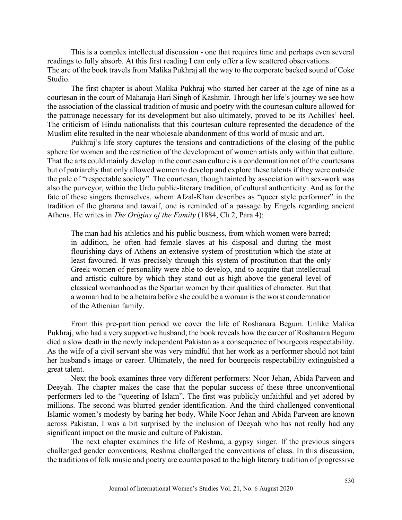This is a complex intellectual discussion - one that requires time and perhaps even several readings to fully absorb. At this first reading I can only offer a few scattered observations. The arc of the book travels from Malika Pukhraj all the way to the corporate backed sound of Coke Studio.

The first chapter is about Malika Pukhraj who started her career at the age of nine as a courtesan in the court of Maharaja Hari Singh of Kashmir. Through her life's journey we see how the association of the classical tradition of music and poetry with the courtesan culture allowed for the patronage necessary for its development but also ultimately, proved to be its Achilles' heel. The criticism of Hindu nationalists that this courtesan culture represented the decadence of the Muslim elite resulted in the near wholesale abandonment of this world of music and art.

Pukhraj's life story captures the tensions and contradictions of the closing of the public sphere for women and the restriction of the development of women artists only within that culture. That the arts could mainly develop in the courtesan culture is a condemnation not of the courtesans but of patriarchy that only allowed women to develop and explore these talents if they were outside the pale of "respectable society". The courtesan, though tainted by association with sex-work was also the purveyor, within the Urdu public-literary tradition, of cultural authenticity. And as for the fate of these singers themselves, whom Afzal-Khan describes as "queer style performer" in the tradition of the gharana and tawaif, one is reminded of a passage by Engels regarding ancient Athens. He writes in *The Origins of the Family* (1884, Ch 2, Para 4):

The man had his athletics and his public business, from which women were barred; in addition, he often had female slaves at his disposal and during the most flourishing days of Athens an extensive system of prostitution which the state at least favoured. It was precisely through this system of prostitution that the only Greek women of personality were able to develop, and to acquire that intellectual and artistic culture by which they stand out as high above the general level of classical womanhood as the Spartan women by their qualities of character. But that a woman had to be a hetaira before she could be a woman isthe worst condemnation of the Athenian family.

From this pre-partition period we cover the life of Roshanara Begum. Unlike Malika Pukhraj, who had a very supportive husband, the book reveals how the career of Roshanara Begum died a slow death in the newly independent Pakistan as a consequence of bourgeois respectability. As the wife of a civil servant she was very mindful that her work as a performer should not taint her husband's image or career. Ultimately, the need for bourgeois respectability extinguished a great talent.

Next the book examines three very different performers: Noor Jehan, Abida Parveen and Deeyah. The chapter makes the case that the popular success of these three unconventional performers led to the "queering of Islam". The first was publicly unfaithful and yet adored by millions. The second was blurred gender identification. And the third challenged conventional Islamic women's modesty by baring her body. While Noor Jehan and Abida Parveen are known across Pakistan, I was a bit surprised by the inclusion of Deeyah who has not really had any significant impact on the music and culture of Pakistan.

The next chapter examines the life of Reshma, a gypsy singer. If the previous singers challenged gender conventions, Reshma challenged the conventions of class. In this discussion, the traditions of folk music and poetry are counterposed to the high literary tradition of progressive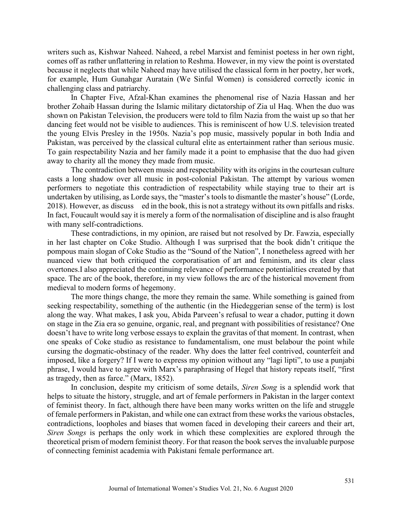writers such as, Kishwar Naheed. Naheed, a rebel Marxist and feminist poetess in her own right, comes off as rather unflattering in relation to Reshma. However, in my view the point is overstated because it neglects that while Naheed may have utilised the classical form in her poetry, her work, for example, Hum Gunahgar Auratain (We Sinful Women) is considered correctly iconic in challenging class and patriarchy.

In Chapter Five, Afzal-Khan examines the phenomenal rise of Nazia Hassan and her brother Zohaib Hassan during the Islamic military dictatorship of Zia ul Haq. When the duo was shown on Pakistan Television, the producers were told to film Nazia from the waist up so that her dancing feet would not be visible to audiences. This is reminiscent of how U.S. television treated the young Elvis Presley in the 1950s. Nazia's pop music, massively popular in both India and Pakistan, was perceived by the classical cultural elite as entertainment rather than serious music. To gain respectability Nazia and her family made it a point to emphasise that the duo had given away to charity all the money they made from music.

The contradiction between music and respectability with its origins in the courtesan culture casts a long shadow over all music in post-colonial Pakistan. The attempt by various women performers to negotiate this contradiction of respectability while staying true to their art is undertaken by utilising, as Lorde says, the "master's tools to dismantle the master's house" (Lorde, 2018). However, as discuss ed in the book, this is not a strategy without its own pitfalls and risks. In fact, Foucault would say it is merely a form of the normalisation of discipline and is also fraught with many self-contradictions.

These contradictions, in my opinion, are raised but not resolved by Dr. Fawzia, especially in her last chapter on Coke Studio. Although I was surprised that the book didn't critique the pompous main slogan of Coke Studio as the "Sound of the Nation", I nonetheless agreed with her nuanced view that both critiqued the corporatisation of art and feminism, and its clear class overtones.I also appreciated the continuing relevance of performance potentialities created by that space. The arc of the book, therefore, in my view follows the arc of the historical movement from medieval to modern forms of hegemony.

The more things change, the more they remain the same. While something is gained from seeking respectability, something of the authentic (in the Hiedeggerian sense of the term) is lost along the way. What makes, I ask you, Abida Parveen's refusal to wear a chador, putting it down on stage in the Zia era so genuine, organic, real, and pregnant with possibilities of resistance? One doesn't have to write long verbose essays to explain the gravitas of that moment. In contrast, when one speaks of Coke studio as resistance to fundamentalism, one must belabour the point while cursing the dogmatic-obstinacy of the reader. Why does the latter feel contrived, counterfeit and imposed, like a forgery? If I were to express my opinion without any "lagi lipti", to use a punjabi phrase, I would have to agree with Marx's paraphrasing of Hegel that history repeats itself, "first as tragedy, then as farce." (Marx, 1852).

In conclusion, despite my criticism of some details, *Siren Song* is a splendid work that helps to situate the history, struggle, and art of female performers in Pakistan in the larger context of feminist theory. In fact, although there have been many works written on the life and struggle of female performers in Pakistan, and while one can extract from these works the various obstacles, contradictions, loopholes and biases that women faced in developing their careers and their art, *Siren Songs* is perhaps the only work in which these complexities are explored through the theoretical prism of modern feminist theory. For that reason the book serves the invaluable purpose of connecting feminist academia with Pakistani female performance art.